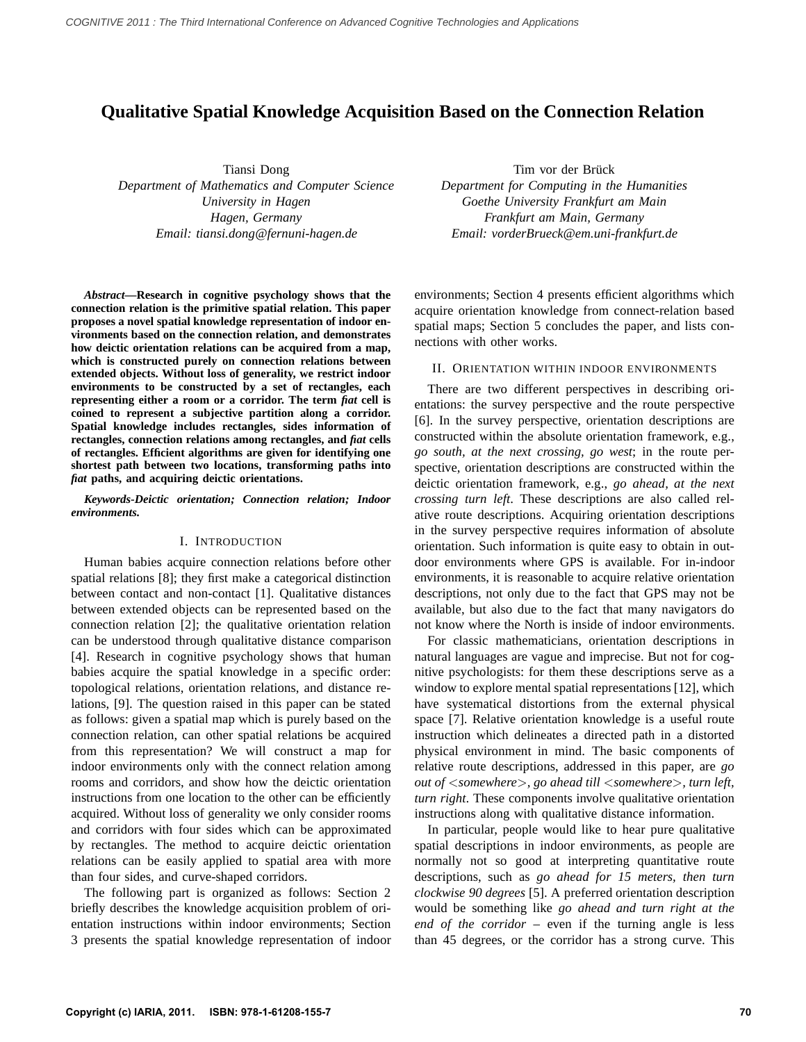# **Qualitative Spatial Knowledge Acquisition Based on the Connection Relation**

Tiansi Dong *Department of Mathematics and Computer Science University in Hagen Hagen, Germany Email: tiansi.dong@fernuni-hagen.de*

*Abstract***—Research in cognitive psychology shows that the connection relation is the primitive spatial relation. This paper proposes a novel spatial knowledge representation of indoor environments based on the connection relation, and demonstrates how deictic orientation relations can be acquired from a map, which is constructed purely on connection relations between extended objects. Without loss of generality, we restrict indoor environments to be constructed by a set of rectangles, each representing either a room or a corridor. The term** *fiat* **cell is coined to represent a subjective partition along a corridor. Spatial knowledge includes rectangles, sides information of rectangles, connection relations among rectangles, and** *fiat* **cells of rectangles. Efficient algorithms are given for identifying one shortest path between two locations, transforming paths into** *fiat* **paths, and acquiring deictic orientations.**

*Keywords***-***Deictic orientation; Connection relation; Indoor environments.*

## I. INTRODUCTION

Human babies acquire connection relations before other spatial relations [8]; they first make a categorical distinction between contact and non-contact [1]. Qualitative distances between extended objects can be represented based on the connection relation [2]; the qualitative orientation relation can be understood through qualitative distance comparison [4]. Research in cognitive psychology shows that human babies acquire the spatial knowledge in a specific order: topological relations, orientation relations, and distance relations, [9]. The question raised in this paper can be stated as follows: given a spatial map which is purely based on the connection relation, can other spatial relations be acquired from this representation? We will construct a map for indoor environments only with the connect relation among rooms and corridors, and show how the deictic orientation instructions from one location to the other can be efficiently acquired. Without loss of generality we only consider rooms and corridors with four sides which can be approximated by rectangles. The method to acquire deictic orientation relations can be easily applied to spatial area with more than four sides, and curve-shaped corridors.

The following part is organized as follows: Section 2 briefly describes the knowledge acquisition problem of orientation instructions within indoor environments; Section 3 presents the spatial knowledge representation of indoor

Tim vor der Brück *Department for Computing in the Humanities Goethe University Frankfurt am Main Frankfurt am Main, Germany Email: vorderBrueck@em.uni-frankfurt.de*

environments; Section 4 presents efficient algorithms which acquire orientation knowledge from connect-relation based spatial maps; Section 5 concludes the paper, and lists connections with other works.

## II. ORIENTATION WITHIN INDOOR ENVIRONMENTS

There are two different perspectives in describing orientations: the survey perspective and the route perspective [6]. In the survey perspective, orientation descriptions are constructed within the absolute orientation framework, e.g., *go south, at the next crossing, go west*; in the route perspective, orientation descriptions are constructed within the deictic orientation framework, e.g., *go ahead, at the next crossing turn left*. These descriptions are also called relative route descriptions. Acquiring orientation descriptions in the survey perspective requires information of absolute orientation. Such information is quite easy to obtain in outdoor environments where GPS is available. For in-indoor environments, it is reasonable to acquire relative orientation descriptions, not only due to the fact that GPS may not be available, but also due to the fact that many navigators do not know where the North is inside of indoor environments.

For classic mathematicians, orientation descriptions in natural languages are vague and imprecise. But not for cognitive psychologists: for them these descriptions serve as a window to explore mental spatial representations [12], which have systematical distortions from the external physical space [7]. Relative orientation knowledge is a useful route instruction which delineates a directed path in a distorted physical environment in mind. The basic components of relative route descriptions, addressed in this paper, are *go out of* <*somewhere*>*, go ahead till* <*somewhere*>*, turn left, turn right*. These components involve qualitative orientation instructions along with qualitative distance information.

In particular, people would like to hear pure qualitative spatial descriptions in indoor environments, as people are normally not so good at interpreting quantitative route descriptions, such as *go ahead for 15 meters, then turn clockwise 90 degrees* [5]. A preferred orientation description would be something like *go ahead and turn right at the end of the corridor* – even if the turning angle is less than 45 degrees, or the corridor has a strong curve. This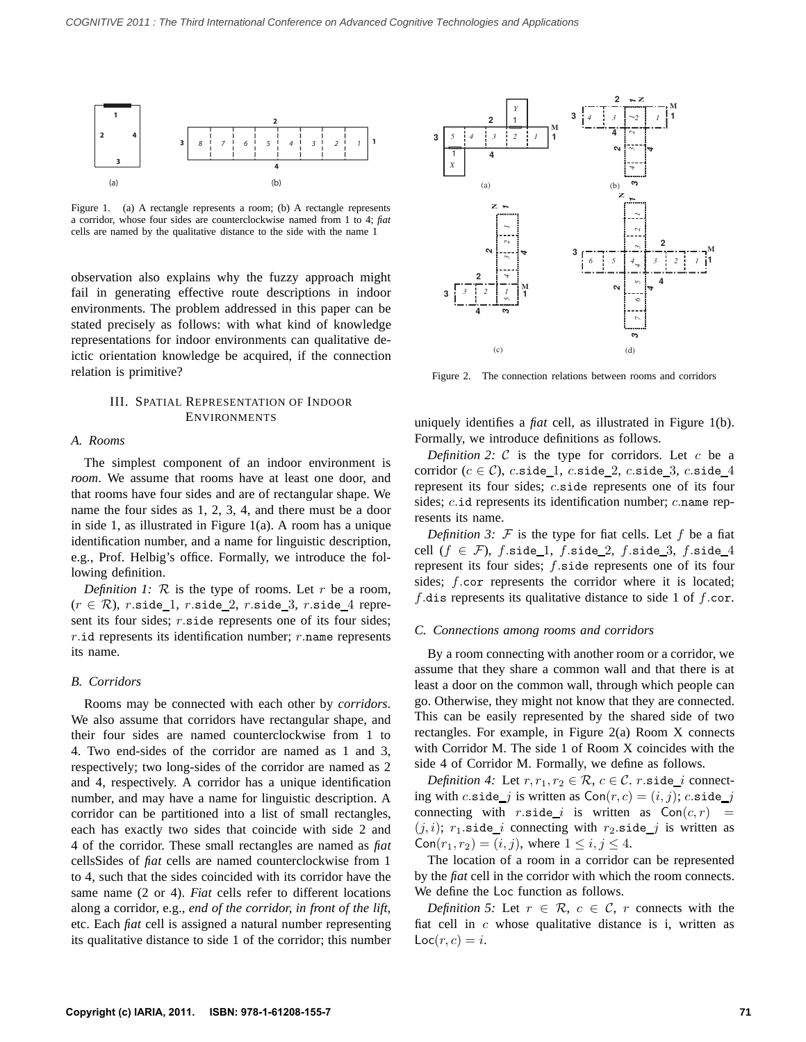

Figure 1. (a) A rectangle represents a room; (b) A rectangle represents a corridor, whose four sides are counterclockwise named from 1 to 4; *fiat* cells are named by the qualitative distance to the side with the name 1

observation also explains why the fuzzy approach might fail in generating effective route descriptions in indoor environments. The problem addressed in this paper can be stated precisely as follows: with what kind of knowledge representations for indoor environments can qualitative deictic orientation knowledge be acquired, if the connection relation is primitive?

# III. SPATIAL REPRESENTATION OF INDOOR ENVIRONMENTS

# *A. Rooms*

The simplest component of an indoor environment is *room*. We assume that rooms have at least one door, and that rooms have four sides and are of rectangular shape. We name the four sides as 1, 2, 3, 4, and there must be a door in side 1, as illustrated in Figure 1(a). A room has a unique identification number, and a name for linguistic description, e.g., Prof. Helbig's office. Formally, we introduce the following definition.

*Definition 1:*  $\mathcal R$  is the type of rooms. Let  $r$  be a room,  $(r \in \mathcal{R})$ , r.side\_1, r.side\_2, r.side\_3, r.side\_4 represent its four sides; r.side represents one of its four sides;  $r$ .id represents its identification number;  $r$ .name represents its name.

# *B. Corridors*

Rooms may be connected with each other by *corridors*. We also assume that corridors have rectangular shape, and their four sides are named counterclockwise from 1 to 4. Two end-sides of the corridor are named as 1 and 3, respectively; two long-sides of the corridor are named as 2 and 4, respectively. A corridor has a unique identification number, and may have a name for linguistic description. A corridor can be partitioned into a list of small rectangles, each has exactly two sides that coincide with side 2 and 4 of the corridor. These small rectangles are named as *fiat* cellsSides of *fiat* cells are named counterclockwise from 1 to 4, such that the sides coincided with its corridor have the same name (2 or 4). *Fiat* cells refer to different locations along a corridor, e.g., *end of the corridor, in front of the lift*, etc. Each *fiat* cell is assigned a natural number representing its qualitative distance to side 1 of the corridor; this number



Figure 2. The connection relations between rooms and corridors

uniquely identifies a *fiat* cell, as illustrated in Figure 1(b). Formally, we introduce definitions as follows.

*Definition 2:*  $C$  is the type for corridors. Let  $c$  be a corridor ( $c \in C$ ), c.side\_1, c.side\_2, c.side\_3, c.side\_4 represent its four sides; c.side represents one of its four sides; c.id represents its identification number; c.name represents its name.

*Definition 3:*  $F$  is the type for fiat cells. Let  $f$  be a fiat cell  $(f \in \mathcal{F})$ , f.side\_1, f.side\_2, f.side\_3, f.side\_4 represent its four sides; f.side represents one of its four sides; f.cor represents the corridor where it is located; f.dis represents its qualitative distance to side 1 of f.cor.

#### *C. Connections among rooms and corridors*

By a room connecting with another room or a corridor, we assume that they share a common wall and that there is at least a door on the common wall, through which people can go. Otherwise, they might not know that they are connected. This can be easily represented by the shared side of two rectangles. For example, in Figure 2(a) Room X connects with Corridor M. The side 1 of Room X coincides with the side 4 of Corridor M. Formally, we define as follows.

*Definition 4:* Let  $r, r_1, r_2 \in \mathcal{R}, c \in \mathcal{C}$ . *r.*side\_*i* connecting with c.side *j* is written as  $Con(r, c) = (i, j)$ ; c.side *j* connecting with r.side i is written as  $Con(c, r)$  =  $(j, i);$   $r_1$  side *i* connecting with  $r_2$  side *j* is written as  $Con(r_1, r_2) = (i, j)$ , where  $1 \le i, j \le 4$ .

The location of a room in a corridor can be represented by the *fiat* cell in the corridor with which the room connects. We define the Loc function as follows.

*Definition 5:* Let  $r \in \mathcal{R}$ ,  $c \in \mathcal{C}$ , r connects with the fiat cell in  $c$  whose qualitative distance is i, written as  $Loc(r, c) = i.$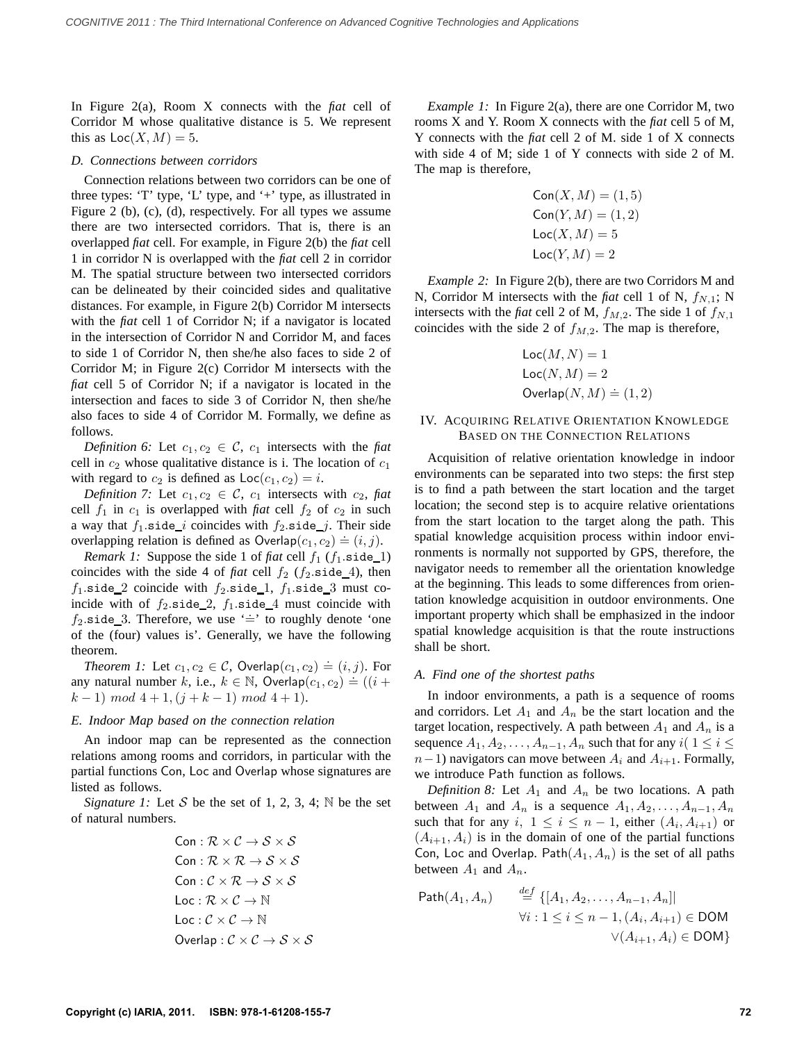In Figure 2(a), Room X connects with the *fiat* cell of Corridor M whose qualitative distance is 5. We represent this as  $Loc(X, M) = 5$ .

# *D. Connections between corridors*

Connection relations between two corridors can be one of three types: 'T' type, 'L' type, and '+' type, as illustrated in Figure 2 (b), (c), (d), respectively. For all types we assume there are two intersected corridors. That is, there is an overlapped *fiat* cell. For example, in Figure 2(b) the *fiat* cell 1 in corridor N is overlapped with the *fiat* cell 2 in corridor M. The spatial structure between two intersected corridors can be delineated by their coincided sides and qualitative distances. For example, in Figure 2(b) Corridor M intersects with the *fiat* cell 1 of Corridor N; if a navigator is located in the intersection of Corridor N and Corridor M, and faces to side 1 of Corridor N, then she/he also faces to side 2 of Corridor M; in Figure 2(c) Corridor M intersects with the *fiat* cell 5 of Corridor N; if a navigator is located in the intersection and faces to side 3 of Corridor N, then she/he also faces to side 4 of Corridor M. Formally, we define as follows.

*Definition 6:* Let  $c_1, c_2 \in \mathcal{C}$ ,  $c_1$  intersects with the *fiat* cell in  $c_2$  whose qualitative distance is i. The location of  $c_1$ with regard to  $c_2$  is defined as  $Loc(c_1, c_2) = i$ .

*Definition 7:* Let  $c_1, c_2 \in \mathcal{C}$ ,  $c_1$  intersects with  $c_2$ , fiat cell  $f_1$  in  $c_1$  is overlapped with *fiat* cell  $f_2$  of  $c_2$  in such a way that  $f_1$  side *i* coincides with  $f_2$  side *j*. Their side overlapping relation is defined as  $\text{Overlap}(c_1, c_2) = (i, j)$ .

*Remark 1:* Suppose the side 1 of *fiat* cell  $f_1$  ( $f_1$ .side\_1) coincides with the side 4 of *fiat* cell  $f_2$  ( $f_2$  side 4), then  $f_1$ .side 2 coincide with  $f_2$ .side 1,  $f_1$ .side 3 must coincide with of  $f_2$  side 2,  $f_1$  side 4 must coincide with  $f_2$  side 3. Therefore, we use '=' to roughly denote 'one of the (four) values is'. Generally, we have the following theorem.

*Theorem 1:* Let  $c_1, c_2 \in \mathcal{C}$ , Overlap $(c_1, c_2) \doteq (i, j)$ . For any natural number k, i.e.,  $k \in \mathbb{N}$ , Overlap $(c_1, c_2) = (i, j)$ . Then  $(k-1) \mod 4+1, (j+k-1) \mod 4+1$ .

#### *E. Indoor Map based on the connection relation*

An indoor map can be represented as the connection relations among rooms and corridors, in particular with the partial functions Con, Loc and Overlap whose signatures are listed as follows.

*Signature 1:* Let S be the set of 1, 2, 3, 4;  $\mathbb N$  be the set of natural numbers.

Con : 
$$
\mathcal{R} \times \mathcal{C} \rightarrow \mathcal{S} \times \mathcal{S}
$$
  
\nCon :  $\mathcal{R} \times \mathcal{R} \rightarrow \mathcal{S} \times \mathcal{S}$   
\nCon :  $\mathcal{C} \times \mathcal{R} \rightarrow \mathcal{S} \times \mathcal{S}$   
\nLoc :  $\mathcal{R} \times \mathcal{C} \rightarrow \mathbb{N}$   
\nLoc :  $\mathcal{C} \times \mathcal{C} \rightarrow \mathbb{N}$   
\nOverlap :  $\mathcal{C} \times \mathcal{C} \rightarrow \mathcal{S} \times \mathcal{S}$ 

*Example 1:* In Figure 2(a), there are one Corridor M, two rooms X and Y. Room X connects with the *fiat* cell 5 of M, Y connects with the *fiat* cell 2 of M. side 1 of X connects with side 4 of M; side 1 of Y connects with side 2 of M. The map is therefore,

$$
Con(X, M) = (1, 5)
$$

$$
Con(Y, M) = (1, 2)
$$

$$
Loc(X, M) = 5
$$

$$
Loc(Y, M) = 2
$$

*Example 2:* In Figure 2(b), there are two Corridors M and N, Corridor M intersects with the *fiat* cell 1 of N,  $f_{N,1}$ ; N intersects with the *fiat* cell 2 of M,  $f_{M,2}$ . The side 1 of  $f_{N,1}$ coincides with the side 2 of  $f_{M,2}$ . The map is therefore,

$$
Loc(M, N) = 1
$$
  
\n
$$
Loc(N, M) = 2
$$
  
\n
$$
Overlap(N, M) \doteq (1, 2)
$$

# IV. ACQUIRING RELATIVE ORIENTATION KNOWLEDGE BASED ON THE CONNECTION RELATIONS

Acquisition of relative orientation knowledge in indoor environments can be separated into two steps: the first step is to find a path between the start location and the target location; the second step is to acquire relative orientations from the start location to the target along the path. This spatial knowledge acquisition process within indoor environments is normally not supported by GPS, therefore, the navigator needs to remember all the orientation knowledge at the beginning. This leads to some differences from orientation knowledge acquisition in outdoor environments. One important property which shall be emphasized in the indoor spatial knowledge acquisition is that the route instructions shall be short.

# *A. Find one of the shortest paths*

In indoor environments, a path is a sequence of rooms and corridors. Let  $A_1$  and  $A_n$  be the start location and the target location, respectively. A path between  $A_1$  and  $A_n$  is a sequence  $A_1, A_2, \ldots, A_{n-1}, A_n$  such that for any  $i(1 \leq i \leq n)$  $n-1$ ) navigators can move between  $A_i$  and  $A_{i+1}$ . Formally, we introduce Path function as follows.

*Definition 8:* Let  $A_1$  and  $A_n$  be two locations. A path between  $A_1$  and  $A_n$  is a sequence  $A_1, A_2, \ldots, A_{n-1}, A_n$ such that for any i,  $1 \le i \le n-1$ , either  $(A_i, A_{i+1})$  or  $(A_{i+1}, A_i)$  is in the domain of one of the partial functions Con, Loc and Overlap. Path $(A_1, A_n)$  is the set of all paths between  $A_1$  and  $A_n$ .

Path
$$
(A_1, A_n)
$$
  $\stackrel{def}{=} \{ [A_1, A_2, \dots, A_{n-1}, A_n] |$   
\n $\forall i : 1 \le i \le n-1, (A_i, A_{i+1}) \in \text{DOM}$   
\n $\forall (A_{i+1}, A_i) \in \text{DOM} \}$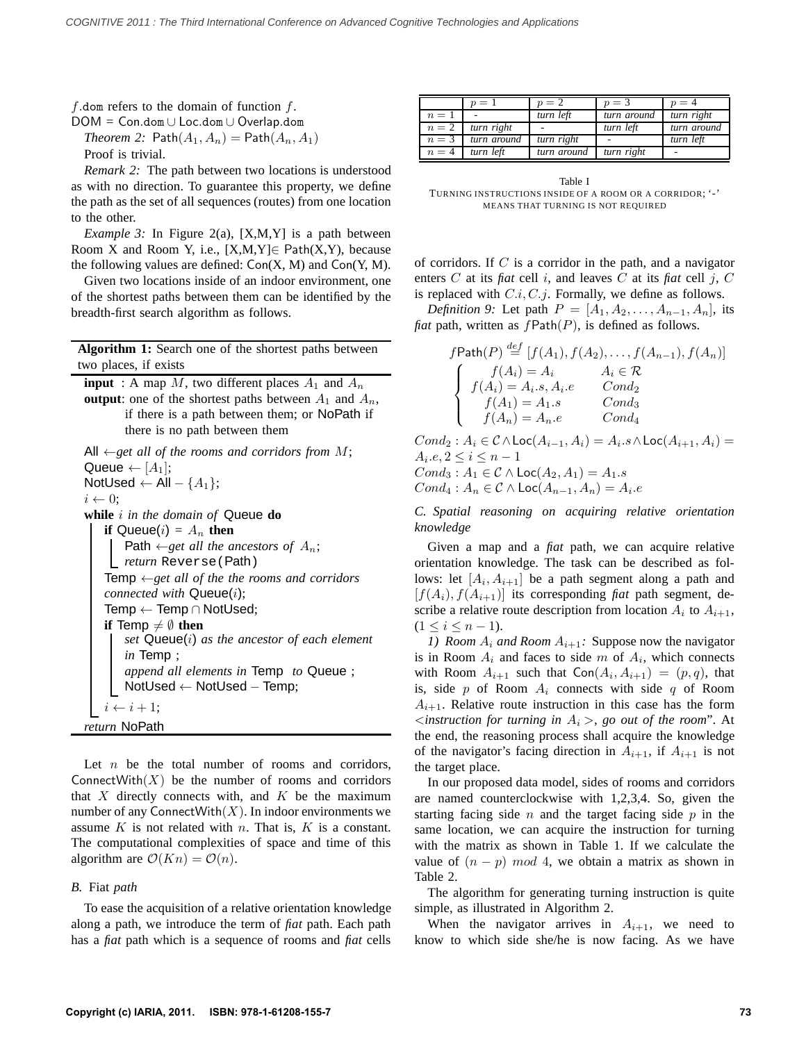f.dom refers to the domain of function  $f$ .

DOM = Con.dom ∪ Loc.dom ∪ Overlap.dom *Theorem 2:* Path $(A_1, A_n) = \text{Path}(A_n, A_1)$ 

Proof is trivial.

*Remark 2:* The path between two locations is understood as with no direction. To guarantee this property, we define the path as the set of all sequences (routes) from one location to the other.

*Example 3:* In Figure 2(a), [X,M,Y] is a path between Room X and Room Y, i.e.,  $[X,M,Y] \in \text{Path}(X,Y)$ , because the following values are defined:  $Con(X, M)$  and  $Con(Y, M)$ .

Given two locations inside of an indoor environment, one of the shortest paths between them can be identified by the breadth-first search algorithm as follows.

**Algorithm 1:** Search one of the shortest paths between two places, if exists

**input** : A map M, two different places  $A_1$  and  $A_n$ **output**: one of the shortest paths between  $A_1$  and  $A_n$ , if there is a path between them; or NoPath if there is no path between them

```
All ←get all of the rooms and corridors from M;
Queue \leftarrow [A<sub>1</sub>];
NotUsed ← All – {A_1};i \leftarrow 0;
while i in the domain of Queue do
   if Queue(i) = A_n then
       Path \leftarrowget all the ancestors of A_n;
     return Reverse(Path)
   Temp ←get all of the the rooms and corridors
   connected with Queue(i);
   Temp ← Temp ∩ NotUsed;
   if Temp \neq \emptyset then
       set Queue(i) as the ancestor of each element
       in Temp ;
       append all elements in Temp to Queue ;
       NotUsed ← NotUsed − Temp;
   i \leftarrow i + 1;return NoPath
```
Let  $n$  be the total number of rooms and corridors, ConnectWith $(X)$  be the number of rooms and corridors that  $X$  directly connects with, and  $K$  be the maximum number of any ConnectWith $(X)$ . In indoor environments we assume  $K$  is not related with  $n$ . That is,  $K$  is a constant. The computational complexities of space and time of this algorithm are  $\mathcal{O}(Kn) = \mathcal{O}(n)$ .

# *B.* Fiat *path*

To ease the acquisition of a relative orientation knowledge along a path, we introduce the term of *fiat* path. Each path has a *fiat* path which is a sequence of rooms and *fiat* cells

|       | $n =$       | $p=2$       | $p=3$       | $p = 4$     |
|-------|-------------|-------------|-------------|-------------|
| $n=1$ | ۰           | turn left   | turn around | turn right  |
| $n=2$ | turn right  |             | turn left   | turn around |
| $n=3$ | turn around | turn right  |             | turn left   |
| $n=4$ | turn left   | turn around | turn right  |             |

Table I TURNING INSTRUCTIONS INSIDE OF A ROOM OR A CORRIDOR; '-' MEANS THAT TURNING IS NOT REQUIRED

of corridors. If  $C$  is a corridor in the path, and a navigator enters C at its *fiat* cell i, and leaves C at its *fiat* cell j, C is replaced with  $C.i, C.j.$  Formally, we define as follows.

*Definition 9:* Let path  $P = [A_1, A_2, \ldots, A_{n-1}, A_n]$ , its *fiat* path, written as  $fPath(P)$ , is defined as follows.

| $f$ Path $(P) \stackrel{def}{=} [f(A_1), f(A_2), \ldots, f(A_{n-1}), f(A_n)]$                                            |                       |
|--------------------------------------------------------------------------------------------------------------------------|-----------------------|
| $\left\{ \begin{array}{c} f(A_i) = A_i \\ f(A_i) = A_i.s, A_i.e \\ f(A_1) = A_1.s \\ f(A_n) = A_n.e \end{array} \right.$ | $A_i \in \mathcal{R}$ |
|                                                                                                                          | Cond <sub>2</sub>     |
|                                                                                                                          | Cond <sub>3</sub>     |
|                                                                                                                          | $Cond_{4}$            |
| $Cond_2: A_i \in \mathcal{C} \wedge \mathsf{Loc}(A_{i-1}, A_i) = A_i.s \wedge \mathsf{Loc}(A_{i+1}, A_i) =$              |                       |
| $A_i.e, 2 \leq i \leq n-1$                                                                                               |                       |
| $Cond_3: A_1 \in \mathcal{C} \wedge \mathsf{Loc}(A_2,A_1)=A_1.s$                                                         |                       |
|                                                                                                                          |                       |

 $Cond_4: A_n \in \mathcal{C} \wedge \mathsf{Loc}(A_{n-1},A_n) = A_i.e$ 

*C. Spatial reasoning on acquiring relative orientation knowledge*

Given a map and a *fiat* path, we can acquire relative orientation knowledge. The task can be described as follows: let  $[A_i, A_{i+1}]$  be a path segment along a path and  $[f(A_i), f(A_{i+1})]$  its corresponding *fiat* path segment, describe a relative route description from location  $A_i$  to  $A_{i+1}$ ,  $(1 \leq i \leq n-1).$ 

*1) Room*  $A_i$  *and Room*  $A_{i+1}$ *:* Suppose now the navigator is in Room  $A_i$  and faces to side m of  $A_i$ , which connects with Room  $A_{i+1}$  such that  $Con(A_i, A_{i+1}) = (p, q)$ , that is, side  $p$  of Room  $A_i$  connects with side  $q$  of Room  $A_{i+1}$ . Relative route instruction in this case has the form  $\leq$ *instruction for turning in*  $A_i$  >, go out of the room". At the end, the reasoning process shall acquire the knowledge of the navigator's facing direction in  $A_{i+1}$ , if  $A_{i+1}$  is not the target place.

In our proposed data model, sides of rooms and corridors are named counterclockwise with 1,2,3,4. So, given the starting facing side  $n$  and the target facing side  $p$  in the same location, we can acquire the instruction for turning with the matrix as shown in Table 1. If we calculate the value of  $(n - p) \mod 4$ , we obtain a matrix as shown in Table 2.

The algorithm for generating turning instruction is quite simple, as illustrated in Algorithm 2.

When the navigator arrives in  $A_{i+1}$ , we need to know to which side she/he is now facing. As we have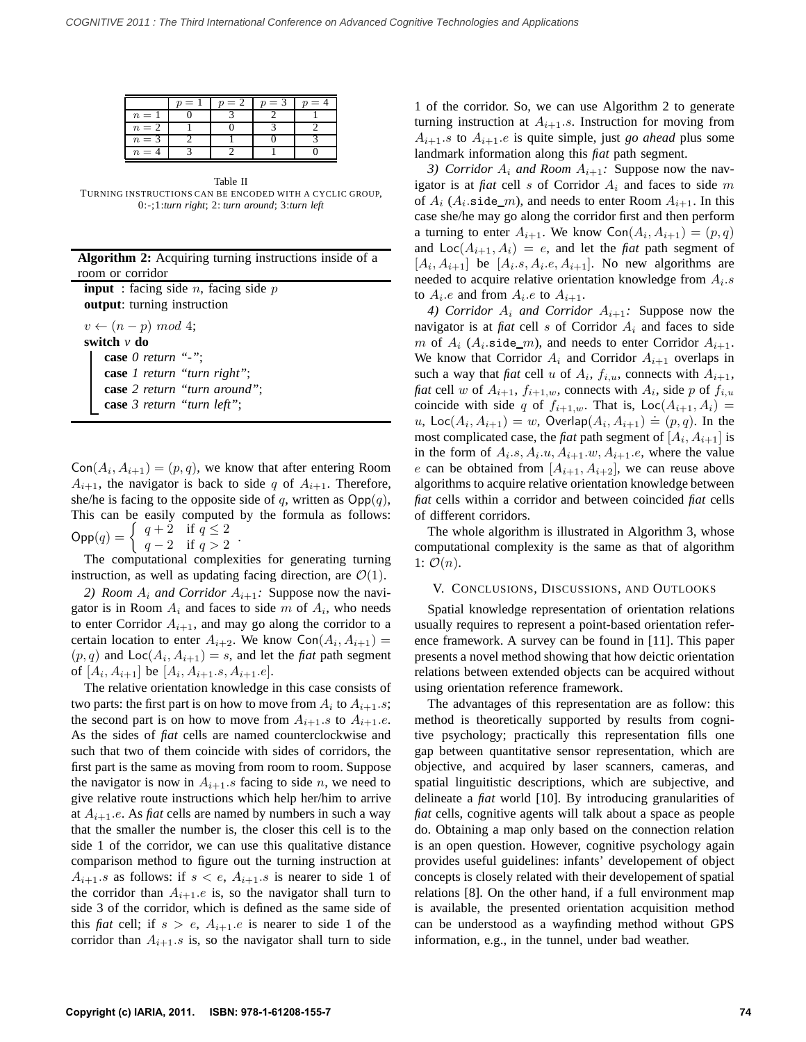|       | $=$ | $= 2$ | $n = 3$ | = |
|-------|-----|-------|---------|---|
| $n =$ |     |       |         |   |
| $n=2$ |     |       |         |   |
| $n=3$ |     |       |         |   |
| $n =$ |     |       |         |   |

Table II TURNING INSTRUCTIONS CAN BE ENCODED WITH A CYCLIC GROUP, 0:-;1:*turn right*; 2: *turn around*; 3:*turn left*

**Algorithm 2:** Acquiring turning instructions inside of a room or corridor

**input** : facing side  $n$ , facing side  $p$ **output**: turning instruction

 $v \leftarrow (n-p) \mod 4;$ **switch** *v* **do case** *0 return "-"*; **case** *1 return "turn right"*; **case** *2 return "turn around"*; **case** *3 return "turn left"*;

 $Con(A_i, A_{i+1}) = (p, q)$ , we know that after entering Room  $A_{i+1}$ , the navigator is back to side q of  $A_{i+1}$ . Therefore, she/he is facing to the opposite side of q, written as  $\text{Opp}(q)$ , This can be easily computed by the formula as follows:  $\mathsf{Opp}(q) = \begin{cases} q+2 & \text{if } q \leq 2 \\ q & \text{if } q > 2 \end{cases}$  $q - 2$  if  $q > 2$ .

The computational complexities for generating turning instruction, as well as updating facing direction, are  $\mathcal{O}(1)$ .

*2) Room*  $A_i$  *and Corridor*  $A_{i+1}$ *:* Suppose now the navigator is in Room  $A_i$  and faces to side m of  $A_i$ , who needs to enter Corridor  $A_{i+1}$ , and may go along the corridor to a certain location to enter  $A_{i+2}$ . We know  $Con(A_i, A_{i+1}) =$  $(p, q)$  and  $Loc(A_i, A_{i+1}) = s$ , and let the *fiat* path segment of  $[A_i, A_{i+1}]$  be  $[A_i, A_{i+1}.s, A_{i+1}.e]$ .

The relative orientation knowledge in this case consists of two parts: the first part is on how to move from  $A_i$  to  $A_{i+1}.s$ ; the second part is on how to move from  $A_{i+1}.s$  to  $A_{i+1}.e$ . As the sides of *fiat* cells are named counterclockwise and such that two of them coincide with sides of corridors, the first part is the same as moving from room to room. Suppose the navigator is now in  $A_{i+1}.s$  facing to side n, we need to give relative route instructions which help her/him to arrive at  $A_{i+1}$ .e. As *fiat* cells are named by numbers in such a way that the smaller the number is, the closer this cell is to the side 1 of the corridor, we can use this qualitative distance comparison method to figure out the turning instruction at  $A_{i+1}.s$  as follows: if  $s < e$ ,  $A_{i+1}.s$  is nearer to side 1 of the corridor than  $A_{i+1}.e$  is, so the navigator shall turn to side 3 of the corridor, which is defined as the same side of this *fiat* cell; if  $s > e$ ,  $A_{i+1}.e$  is nearer to side 1 of the corridor than  $A_{i+1}.s$  is, so the navigator shall turn to side 1 of the corridor. So, we can use Algorithm 2 to generate turning instruction at  $A_{i+1}.s$ . Instruction for moving from  $A_{i+1}.s$  to  $A_{i+1}.e$  is quite simple, just *go ahead* plus some landmark information along this *fiat* path segment.

*3) Corridor*  $A_i$  *and Room*  $A_{i+1}$ *:* Suppose now the navigator is at *fiat* cell s of Corridor  $A_i$  and faces to side m of  $A_i$  ( $A_i$  side\_m), and needs to enter Room  $A_{i+1}$ . In this case she/he may go along the corridor first and then perform a turning to enter  $A_{i+1}$ . We know  $Con(A_i, A_{i+1}) = (p, q)$ and  $Loc(A_{i+1}, A_i) = e$ , and let the *fiat* path segment of  $[A_i, A_{i+1}]$  be  $[A_i, A_i, e, A_{i+1}]$ . No new algorithms are needed to acquire relative orientation knowledge from  $A_i.s$ to  $A_i.e$  and from  $A_i.e$  to  $A_{i+1}.$ 

*4) Corridor*  $A_i$  *and Corridor*  $A_{i+1}$ *:* Suppose now the navigator is at *fiat* cell s of Corridor  $A_i$  and faces to side m of  $A_i$  ( $A_i$  side\_m), and needs to enter Corridor  $A_{i+1}$ . We know that Corridor  $A_i$  and Corridor  $A_{i+1}$  overlaps in such a way that *fiat* cell u of  $A_i$ ,  $f_{i,u}$ , connects with  $A_{i+1}$ , *fiat* cell w of  $A_{i+1}$ ,  $f_{i+1,w}$ , connects with  $A_i$ , side p of  $f_{i,w}$ coincide with side q of  $f_{i+1,w}$ . That is,  $Loc(A_{i+1}, A_i)$  =  $u, \text{Loc}(A_i, A_{i+1}) = w, \text{ Overlap}(A_i, A_{i+1}) = (p, q).$  In the most complicated case, the *fiat* path segment of  $[A_i, A_{i+1}]$  is in the form of  $A_i.s, A_i.u, A_{i+1}.w, A_{i+1}.e$ , where the value e can be obtained from  $[A_{i+1}, A_{i+2}]$ , we can reuse above algorithms to acquire relative orientation knowledge between *fiat* cells within a corridor and between coincided *fiat* cells of different corridors.

The whole algorithm is illustrated in Algorithm 3, whose computational complexity is the same as that of algorithm 1:  $\mathcal{O}(n)$ .

#### V. CONCLUSIONS, DISCUSSIONS, AND OUTLOOKS

Spatial knowledge representation of orientation relations usually requires to represent a point-based orientation reference framework. A survey can be found in [11]. This paper presents a novel method showing that how deictic orientation relations between extended objects can be acquired without using orientation reference framework.

The advantages of this representation are as follow: this method is theoretically supported by results from cognitive psychology; practically this representation fills one gap between quantitative sensor representation, which are objective, and acquired by laser scanners, cameras, and spatial linguitistic descriptions, which are subjective, and delineate a *fiat* world [10]. By introducing granularities of *fiat* cells, cognitive agents will talk about a space as people do. Obtaining a map only based on the connection relation is an open question. However, cognitive psychology again provides useful guidelines: infants' developement of object concepts is closely related with their developement of spatial relations [8]. On the other hand, if a full environment map is available, the presented orientation acquisition method can be understood as a wayfinding method without GPS information, e.g., in the tunnel, under bad weather.